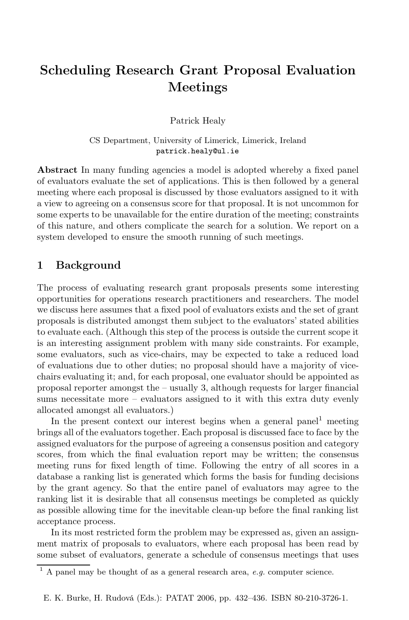# **Scheduling Research Grant Proposal Evaluation** Meetings

Patrick Healy

CS Department, University of Limerick, Limerick, Ireland patrick.healy@ul.ie

**Abstract** In many funding agencies a model is adopted whereby a fixed panel of evaluators evaluate the set of applications. This is then followed by a general meeting where each proposal is discussed by those evaluators assigned to it with a view to agreeing on a consensus score for that proposal. It is not uncommon for some experts to be unavailable for the entire duration of the meeting; constraints of this nature, and others complicate the search for a solution. We report on a system developed to ensure the smooth running of such meetings.

#### $\mathbf{1}$ **Background**

The process of evaluating research grant proposals presents some interesting opportunities for operations research practitioners and researchers. The model we discuss here assumes that a fixed pool of evaluators exists and the set of grant proposals is distributed amongst them subject to the evaluators' stated abilities to evaluate each. (Although this step of the process is outside the current scope it is an interesting assignment problem with many side constraints. For example, some evaluators, such as vice-chairs, may be expected to take a reduced load of evaluations due to other duties; no proposal should have a majority of vicechairs evaluating it; and, for each proposal, one evaluator should be appointed as proposal reporter amongst the  $-$  usually 3, although requests for larger financial sums necessitate more  $-$  evaluators assigned to it with this extra duty evenly allocated amongst all evaluators.)

In the present context our interest begins when a general panel<sup>1</sup> meeting brings all of the evaluators together. Each proposal is discussed face to face by the assigned evaluators for the purpose of agreeing a consensus position and category scores, from which the final evaluation report may be written; the consensus meeting runs for fixed length of time. Following the entry of all scores in a database a ranking list is generated which forms the basis for funding decisions by the grant agency. So that the entire panel of evaluators may agree to the ranking list it is desirable that all consensus meetings be completed as quickly as possible allowing time for the inevitable clean-up before the final ranking list acceptance process.

In its most restricted form the problem may be expressed as, given an assignment matrix of proposals to evaluators, where each proposal has been read by some subset of evaluators, generate a schedule of consensus meetings that uses

E. K. Burke, H. Rudová (Eds.): PATAT 2006, pp. 432-436. ISBN 80-210-3726-1.

 $^1$  A panel may be thought of as a general research area, *e.g.* computer science.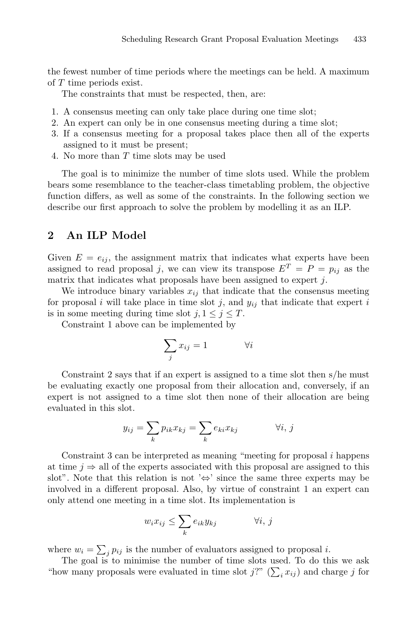the fewest number of time periods where the meetings can be held. A maximum of  $T$  time periods exist.

The constraints that must be respected, then, are:

- 1. A consensus meeting can only take place during one time slot:
- 2. An expert can only be in one consensus meeting during a time slot;
- 3. If a consensus meeting for a proposal takes place then all of the experts assigned to it must be present;
- 4. No more than T time slots may be used

The goal is to minimize the number of time slots used. While the problem bears some resemblance to the teacher-class timetabling problem, the objective function differs, as well as some of the constraints. In the following section we describe our first approach to solve the problem by modelling it as an ILP.

### $\overline{2}$ An ILP Model

Given  $E = e_{ij}$ , the assignment matrix that indicates what experts have been assigned to read proposal j, we can view its transpose  $E^T = P = p_{ij}$  as the matrix that indicates what proposals have been assigned to expert  $j$ .

We introduce binary variables  $x_{ij}$  that indicate that the consensus meeting for proposal i will take place in time slot j, and  $y_{ij}$  that indicate that expert i is in some meeting during time slot  $j, 1 \leq j \leq T$ .

Constraint 1 above can be implemented by

$$
\sum_{j} x_{ij} = 1 \qquad \qquad \forall i
$$

Constraint 2 says that if an expert is assigned to a time slot then  $s$ /he must be evaluating exactly one proposal from their allocation and, conversely, if an expert is not assigned to a time slot then none of their allocation are being evaluated in this slot.

$$
y_{ij} = \sum_{k} p_{ik} x_{kj} = \sum_{k} e_{ki} x_{kj} \qquad \forall i, j
$$

Constraint  $3$  can be interpreted as meaning "meeting for proposal  $i$  happens at time  $j \Rightarrow$  all of the experts associated with this proposal are assigned to this slot". Note that this relation is not ' $\Leftrightarrow$ ' since the same three experts may be involved in a different proposal. Also, by virtue of constraint 1 an expert can only attend one meeting in a time slot. Its implementation is

$$
w_i x_{ij} \le \sum_k e_{ik} y_{kj} \qquad \forall i, j
$$

where  $w_i = \sum_j p_{ij}$  is the number of evaluators assigned to proposal *i*.

The goal is to minimise the number of time slots used. To do this we ask "how many proposals were evaluated in time slot  $j$ ?" ( $\sum_i x_{ij}$ ) and charge j for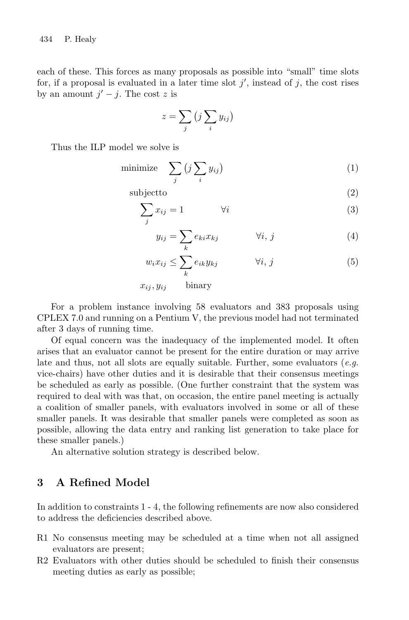each of these. This forces as many proposals as possible into "small" time slots for, if a proposal is evaluated in a later time slot  $j'$ , instead of j, the cost rises by an amount  $j'-j$ . The cost z is

$$
z = \sum_j \left(j \sum_i y_{ij}\right)
$$

Thus the ILP model we solve is

$$
\text{minimize} \quad \sum_{j} \left( j \sum_{i} y_{ij} \right) \tag{1}
$$

subjectto

$$
\sum_{i} x_{ij} = 1 \qquad \qquad \forall i \tag{3}
$$

$$
y_{ij} = \sum_{k} e_{ki} x_{kj} \qquad \forall i, j \qquad (4)
$$

 $(2)$ 

$$
w_i x_{ij} \le \sum_k e_{ik} y_{kj} \qquad \forall i, j \qquad (5)
$$

binary  $x_{ij}, y_{ij}$ 

For a problem instance involving 58 evaluators and 383 proposals using CPLEX 7.0 and running on a Pentium V, the previous model had not terminated after 3 days of running time.

Of equal concern was the inadequacy of the implemented model. It often arises that an evaluator cannot be present for the entire duration or may arrive late and thus, not all slots are equally suitable. Further, some evaluators (e.g. vice-chairs) have other duties and it is desirable that their consensus meetings be scheduled as early as possible. (One further constraint that the system was required to deal with was that, on occasion, the entire panel meeting is actually a coalition of smaller panels, with evaluators involved in some or all of these smaller panels. It was desirable that smaller panels were completed as soon as possible, allowing the data entry and ranking list generation to take place for these smaller panels.)

An alternative solution strategy is described below.

#### 3 A Refined Model

In addition to constraints 1 - 4, the following refinements are now also considered to address the deficiencies described above.

- R1 No consensus meeting may be scheduled at a time when not all assigned evaluators are present;
- R2 Evaluators with other duties should be scheduled to finish their consensus meeting duties as early as possible;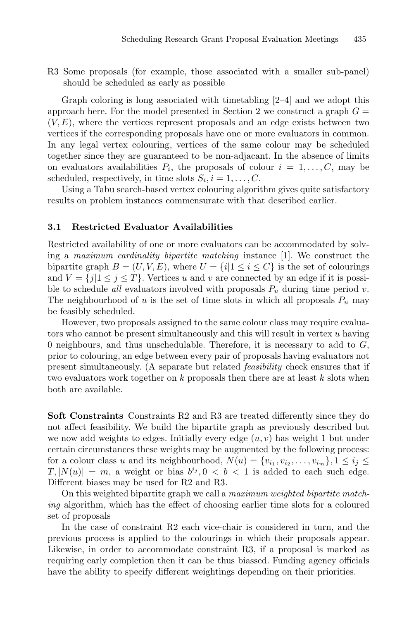R3 Some proposals (for example, those associated with a smaller sub-panel) should be scheduled as early as possible

Graph coloring is long associated with timetabling  $[2-4]$  and we adopt this approach here. For the model presented in Section 2 we construct a graph  $G =$  $(V, E)$ , where the vertices represent proposals and an edge exists between two vertices if the corresponding proposals have one or more evaluators in common. In any legal vertex colouring, vertices of the same colour may be scheduled together since they are guaranteed to be non-adjacant. In the absence of limits on evaluators availabilities  $P_i$ , the proposals of colour  $i = 1, \ldots, C$ , may be scheduled, respectively, in time slots  $S_i, i = 1, \ldots, C$ .

Using a Tabu search-based vertex colouring algorithm gives quite satisfactory results on problem instances commensurate with that described earlier.

#### **Restricted Evaluator Availabilities**  $3.1$

Restricted availability of one or more evaluators can be accommodated by solving a maximum cardinality bipartite matching instance [1]. We construct the bipartite graph  $B = (U, V, E)$ , where  $U = \{i | 1 \le i \le C\}$  is the set of colourings and  $V = \{j | 1 \le j \le T\}$ . Vertices u and v are connected by an edge if it is possible to schedule *all* evaluators involved with proposals  $P_u$  during time period v. The neighbourhood of u is the set of time slots in which all proposals  $P_u$  may be feasibly scheduled.

However, two proposals assigned to the same colour class may require evaluators who cannot be present simultaneously and this will result in vertex  $u$  having 0 neighbours, and thus unschedulable. Therefore, it is necessary to add to  $G$ , prior to colouring, an edge between every pair of proposals having evaluators not present simultaneously. (A separate but related *feasibility* check ensures that if two evaluators work together on  $k$  proposals then there are at least  $k$  slots when both are available.

Soft Constraints Constraints R2 and R3 are treated differently since they do not affect feasibility. We build the bipartite graph as previously described but we now add weights to edges. Initially every edge  $(u, v)$  has weight 1 but under certain circumstances these weights may be augmented by the following process: for a colour class u and its neighbourhood,  $N(u) = \{v_{i_1}, v_{i_2}, \ldots, v_{i_m}\}, 1 \leq i_j \leq$  $T, |N(u)| = m$ , a weight or bias  $b^{i_j}, 0 < b < 1$  is added to each such edge. Different biases may be used for R2 and R3.

On this weighted bipartite graph we call a maximum weighted bipartite match*ing* algorithm, which has the effect of choosing earlier time slots for a coloured set of proposals

In the case of constraint R2 each vice-chair is considered in turn, and the previous process is applied to the colourings in which their proposals appear. Likewise, in order to accommodate constraint R3, if a proposal is marked as requiring early completion then it can be thus biassed. Funding agency officials have the ability to specify different weightings depending on their priorities.